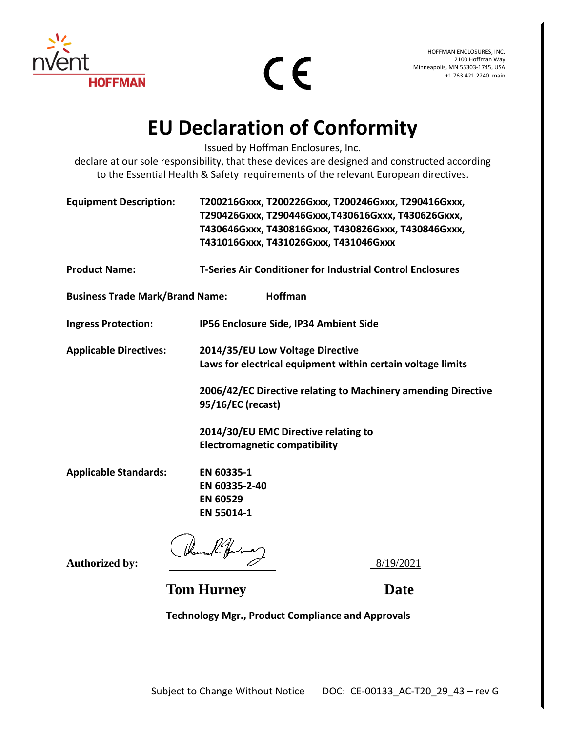



HOFFMAN ENCLOSURES, INC. 2100 Hoffman Way Minneapolis, MN 55303-1745, USA +1.763.421.2240 main

## **EU Declaration of Conformity**

Issued by Hoffman Enclosures, Inc.

declare at our sole responsibility, that these devices are designed and constructed according to the Essential Health & Safety requirements of the relevant European directives.

| <b>Equipment Description:</b>                     | T200216Gxxx, T200226Gxxx, T200246Gxxx, T290416Gxxx,<br>T290426Gxxx, T290446Gxxx, T430616Gxxx, T430626Gxxx,<br>T430646Gxxx, T430816Gxxx, T430826Gxxx, T430846Gxxx,<br>T431016Gxxx, T431026Gxxx, T431046Gxxx |
|---------------------------------------------------|------------------------------------------------------------------------------------------------------------------------------------------------------------------------------------------------------------|
| <b>Product Name:</b>                              | <b>T-Series Air Conditioner for Industrial Control Enclosures</b>                                                                                                                                          |
| Hoffman<br><b>Business Trade Mark/Brand Name:</b> |                                                                                                                                                                                                            |
| <b>Ingress Protection:</b>                        | IP56 Enclosure Side, IP34 Ambient Side                                                                                                                                                                     |
| <b>Applicable Directives:</b>                     | 2014/35/EU Low Voltage Directive<br>Laws for electrical equipment within certain voltage limits                                                                                                            |
|                                                   | 2006/42/EC Directive relating to Machinery amending Directive<br>95/16/EC (recast)                                                                                                                         |
|                                                   | 2014/30/EU EMC Directive relating to<br><b>Electromagnetic compatibility</b>                                                                                                                               |
| <b>Applicable Standards:</b>                      | EN 60335-1<br>EN 60335-2-40<br><b>EN 60529</b><br>EN 55014-1                                                                                                                                               |
| <b>Authorized by:</b>                             | Rouse R. Julie<br>8/19/2021                                                                                                                                                                                |

**Tom Hurney Date**

**Technology Mgr., Product Compliance and Approvals**